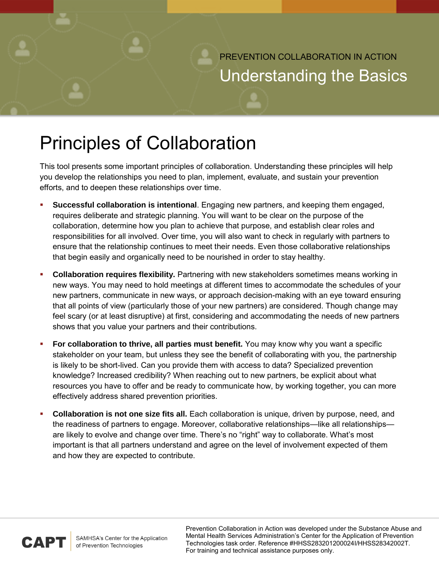PREVENTION COLLABORATION IN ACTION Understanding the Basics

## Principles of Collaboration

This tool presents some important principles of collaboration. Understanding these principles will help you develop the relationships you need to plan, implement, evaluate, and sustain your prevention efforts, and to deepen these relationships over time.

- **Successful collaboration is intentional**. Engaging new partners, and keeping them engaged, requires deliberate and strategic planning. You will want to be clear on the purpose of the collaboration, determine how you plan to achieve that purpose, and establish clear roles and responsibilities for all involved. Over time, you will also want to check in regularly with partners to ensure that the relationship continues to meet their needs. Even those collaborative relationships that begin easily and organically need to be nourished in order to stay healthy.
- **Collaboration requires flexibility.** Partnering with new stakeholders sometimes means working in new ways. You may need to hold meetings at different times to accommodate the schedules of your new partners, communicate in new ways, or approach decision-making with an eye toward ensuring that all points of view (particularly those of your new partners) are considered. Though change may feel scary (or at least disruptive) at first, considering and accommodating the needs of new partners shows that you value your partners and their contributions.
- **For collaboration to thrive, all parties must benefit.** You may know why you want a specific stakeholder on your team, but unless they see the benefit of collaborating with you, the partnership is likely to be short-lived. Can you provide them with access to data? Specialized prevention knowledge? Increased credibility? When reaching out to new partners, be explicit about what resources you have to offer and be ready to communicate how, by working together, you can more effectively address shared prevention priorities.
- **Collaboration is not one size fits all.** Each collaboration is unique, driven by purpose, need, and the readiness of partners to engage. Moreover, collaborative relationships—like all relationships are likely to evolve and change over time. There's no "right" way to collaborate. What's most important is that all partners understand and agree on the level of involvement expected of them and how they are expected to contribute.



Prevention Collaboration in Action was developed under the Substance Abuse and Mental Health Services Administration's Center for the Application of Prevention Technologies task order. Reference #HHSS283201200024I/HHSS28342002T. For training and technical assistance purposes only.